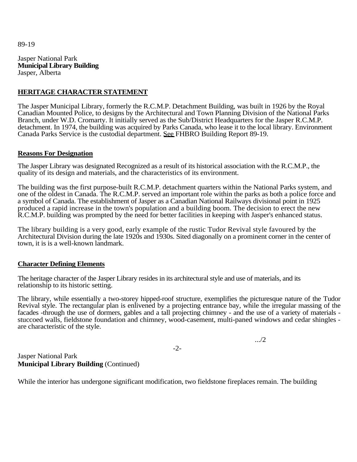89-19

Jasper National Park **Municipal Library Building**  Jasper, Alberta

## **HERITAGE CHARACTER STATEMENT**

The Jasper Municipal Library, formerly the R.C.M.P. Detachment Building, was built in 1926 by the Royal Canadian Mounted Police, to designs by the Architectural and Town Planning Division of the National Parks Branch, under W.D. Cromarty. It initially served as the Sub/District Headquarters for the Jasper R.C.M.P. detachment. In 1974, the building was acquired by Parks Canada, who lease it to the local library. Environment Canada Parks Service is the custodial department. See FHBRO Building Report 89-19.

## **Reasons For Designation**

The Jasper Library was designated Recognized as a result of its historical association with the R.C.M.P., the quality of its design and materials, and the characteristics of its environment.

The building was the first purpose-built R.C.M.P. detachment quarters within the National Parks system, and one of the oldest in Canada. The R.C.M.P. served an important role within the parks as both a police force and a symbol of Canada. The establishment of Jasper as a Canadian National Railways divisional point in 1925 produced a rapid increase in the town's population and a building boom. The decision to erect the new R.C.M.P. building was prompted by the need for better facilities in keeping with Jasper's enhanced status.

The library building is a very good, early example of the rustic Tudor Revival style favoured by the Architectural Division during the late 1920s and 1930s. Sited diagonally on a prominent corner in the center of town, it is is a well-known landmark.

## **Character Defining Elements**

The heritage character of the Jasper Library resides in its architectural style and use of materials, and its relationship to its historic setting.

The library, while essentially a two-storey hipped-roof structure, exemplifies the picturesque nature of the Tudor Revival style. The rectangular plan is enlivened by a projecting entrance bay, while the irregular massing of the facades -through the use of dormers, gables and a tall projecting chimney - and the use of a variety of materials stuccoed walls, fieldstone foundation and chimney, wood-casement, multi-paned windows and cedar shingles are characteristic of the style.

-2-

.../2

Jasper National Park **Municipal Library Building** (Continued)

While the interior has undergone significant modification, two fieldstone fireplaces remain. The building